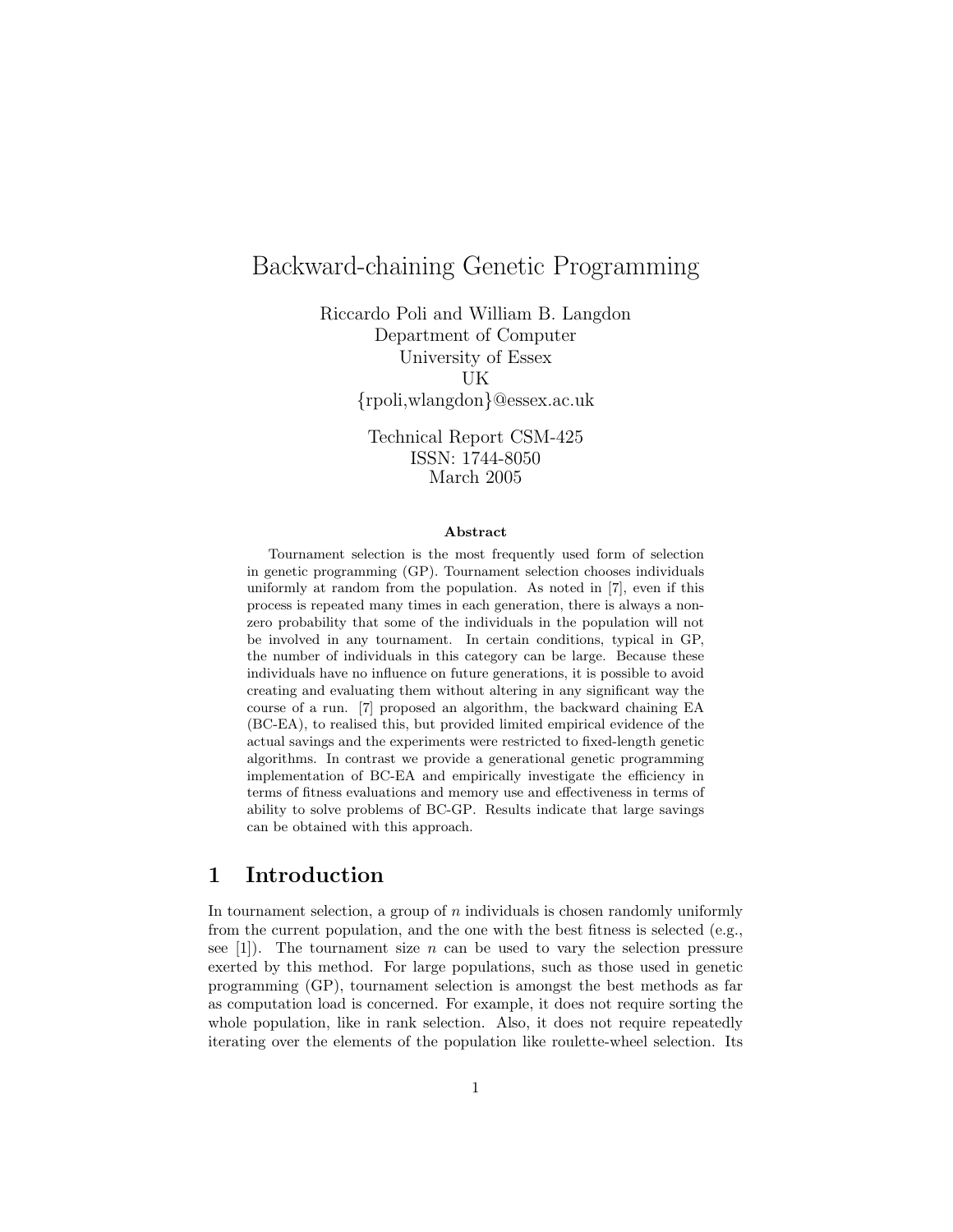# Backward-chaining Genetic Programming

Riccardo Poli and William B. Langdon Department of Computer University of Essex UK {rpoli,wlangdon}@essex.ac.uk

> Technical Report CSM-425 ISSN: 1744-8050 March 2005

#### Abstract

Tournament selection is the most frequently used form of selection in genetic programming (GP). Tournament selection chooses individuals uniformly at random from the population. As noted in [7], even if this process is repeated many times in each generation, there is always a nonzero probability that some of the individuals in the population will not be involved in any tournament. In certain conditions, typical in GP, the number of individuals in this category can be large. Because these individuals have no influence on future generations, it is possible to avoid creating and evaluating them without altering in any significant way the course of a run. [7] proposed an algorithm, the backward chaining EA (BC-EA), to realised this, but provided limited empirical evidence of the actual savings and the experiments were restricted to fixed-length genetic algorithms. In contrast we provide a generational genetic programming implementation of BC-EA and empirically investigate the efficiency in terms of fitness evaluations and memory use and effectiveness in terms of ability to solve problems of BC-GP. Results indicate that large savings can be obtained with this approach.

### 1 Introduction

In tournament selection, a group of  $n$  individuals is chosen randomly uniformly from the current population, and the one with the best fitness is selected (e.g., see [1]). The tournament size n can be used to vary the selection pressure exerted by this method. For large populations, such as those used in genetic programming (GP), tournament selection is amongst the best methods as far as computation load is concerned. For example, it does not require sorting the whole population, like in rank selection. Also, it does not require repeatedly iterating over the elements of the population like roulette-wheel selection. Its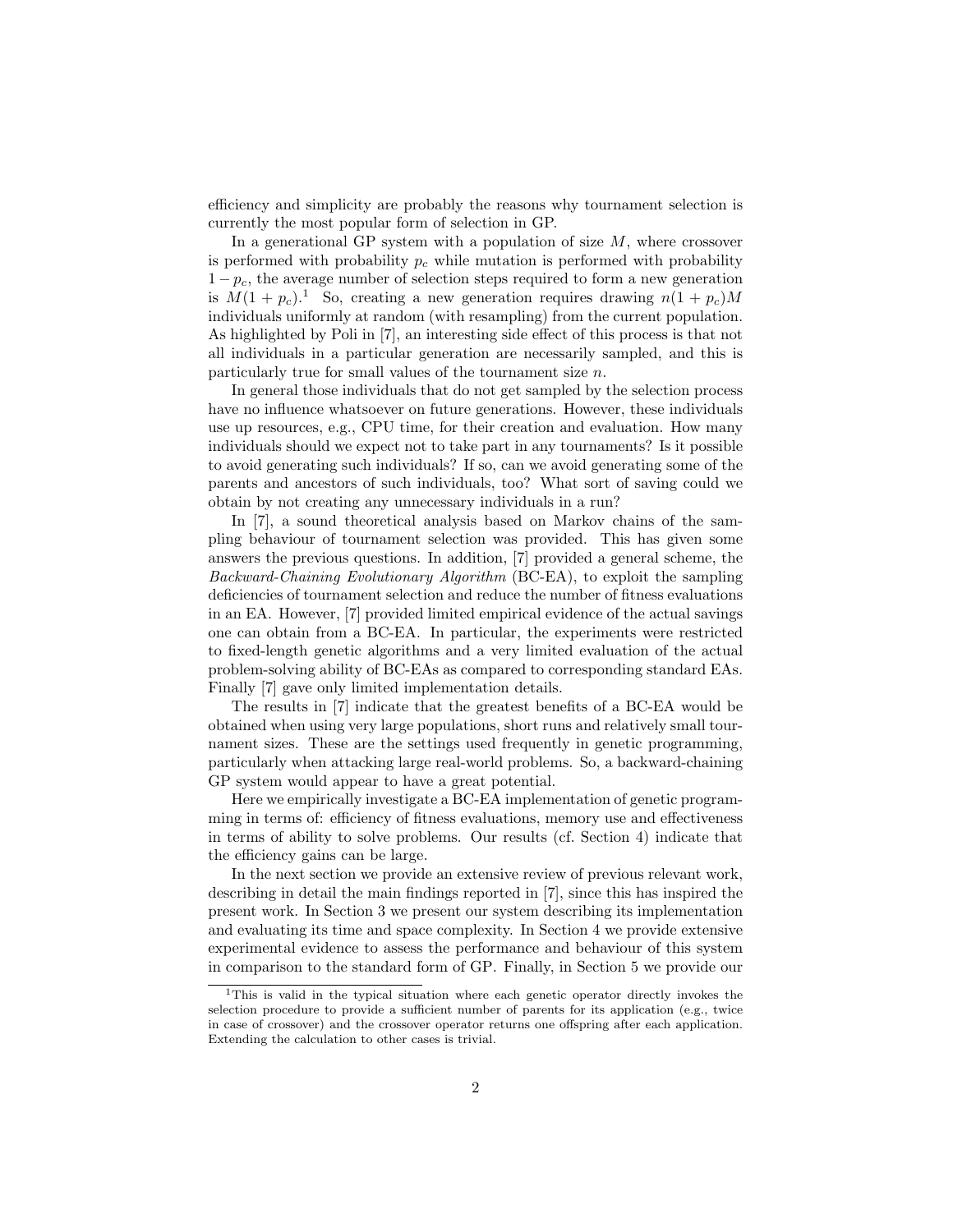efficiency and simplicity are probably the reasons why tournament selection is currently the most popular form of selection in GP.

In a generational GP system with a population of size  $M$ , where crossover is performed with probability  $p_c$  while mutation is performed with probability  $1-p_c$ , the average number of selection steps required to form a new generation is  $M(1 + p_c)^{1}$ . So, creating a new generation requires drawing  $n(1 + p_c)M$ individuals uniformly at random (with resampling) from the current population. As highlighted by Poli in [7], an interesting side effect of this process is that not all individuals in a particular generation are necessarily sampled, and this is particularly true for small values of the tournament size n.

In general those individuals that do not get sampled by the selection process have no influence whatsoever on future generations. However, these individuals use up resources, e.g., CPU time, for their creation and evaluation. How many individuals should we expect not to take part in any tournaments? Is it possible to avoid generating such individuals? If so, can we avoid generating some of the parents and ancestors of such individuals, too? What sort of saving could we obtain by not creating any unnecessary individuals in a run?

In [7], a sound theoretical analysis based on Markov chains of the sampling behaviour of tournament selection was provided. This has given some answers the previous questions. In addition, [7] provided a general scheme, the Backward-Chaining Evolutionary Algorithm (BC-EA), to exploit the sampling deficiencies of tournament selection and reduce the number of fitness evaluations in an EA. However, [7] provided limited empirical evidence of the actual savings one can obtain from a BC-EA. In particular, the experiments were restricted to fixed-length genetic algorithms and a very limited evaluation of the actual problem-solving ability of BC-EAs as compared to corresponding standard EAs. Finally [7] gave only limited implementation details.

The results in [7] indicate that the greatest benefits of a BC-EA would be obtained when using very large populations, short runs and relatively small tournament sizes. These are the settings used frequently in genetic programming, particularly when attacking large real-world problems. So, a backward-chaining GP system would appear to have a great potential.

Here we empirically investigate a BC-EA implementation of genetic programming in terms of: efficiency of fitness evaluations, memory use and effectiveness in terms of ability to solve problems. Our results (cf. Section 4) indicate that the efficiency gains can be large.

In the next section we provide an extensive review of previous relevant work, describing in detail the main findings reported in [7], since this has inspired the present work. In Section 3 we present our system describing its implementation and evaluating its time and space complexity. In Section 4 we provide extensive experimental evidence to assess the performance and behaviour of this system in comparison to the standard form of GP. Finally, in Section 5 we provide our

<sup>1</sup>This is valid in the typical situation where each genetic operator directly invokes the selection procedure to provide a sufficient number of parents for its application (e.g., twice in case of crossover) and the crossover operator returns one offspring after each application. Extending the calculation to other cases is trivial.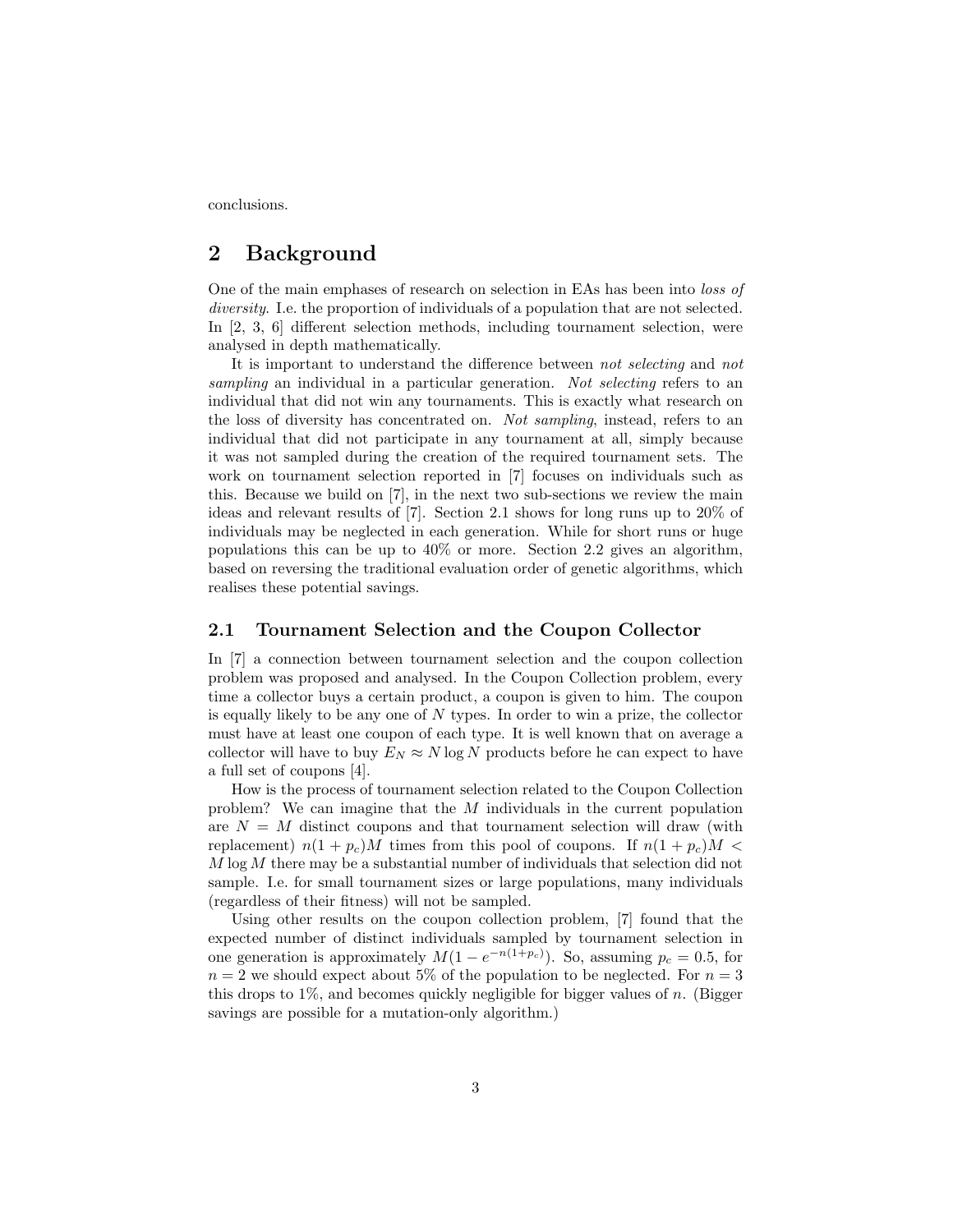conclusions.

## 2 Background

One of the main emphases of research on selection in EAs has been into loss of diversity. I.e. the proportion of individuals of a population that are not selected. In [2, 3, 6] different selection methods, including tournament selection, were analysed in depth mathematically.

It is important to understand the difference between not selecting and not sampling an individual in a particular generation. Not selecting refers to an individual that did not win any tournaments. This is exactly what research on the loss of diversity has concentrated on. Not sampling, instead, refers to an individual that did not participate in any tournament at all, simply because it was not sampled during the creation of the required tournament sets. The work on tournament selection reported in [7] focuses on individuals such as this. Because we build on [7], in the next two sub-sections we review the main ideas and relevant results of [7]. Section 2.1 shows for long runs up to 20% of individuals may be neglected in each generation. While for short runs or huge populations this can be up to  $40\%$  or more. Section 2.2 gives an algorithm, based on reversing the traditional evaluation order of genetic algorithms, which realises these potential savings.

### 2.1 Tournament Selection and the Coupon Collector

In [7] a connection between tournament selection and the coupon collection problem was proposed and analysed. In the Coupon Collection problem, every time a collector buys a certain product, a coupon is given to him. The coupon is equally likely to be any one of  $N$  types. In order to win a prize, the collector must have at least one coupon of each type. It is well known that on average a collector will have to buy  $E_N \approx N \log N$  products before he can expect to have a full set of coupons [4].

How is the process of tournament selection related to the Coupon Collection problem? We can imagine that the M individuals in the current population are  $N = M$  distinct coupons and that tournament selection will draw (with replacement)  $n(1 + p_c)M$  times from this pool of coupons. If  $n(1 + p_c)M$  $M \log M$  there may be a substantial number of individuals that selection did not sample. I.e. for small tournament sizes or large populations, many individuals (regardless of their fitness) will not be sampled.

Using other results on the coupon collection problem, [7] found that the expected number of distinct individuals sampled by tournament selection in one generation is approximately  $M(1 - e^{-n(1+p_c)})$ . So, assuming  $p_c = 0.5$ , for  $n = 2$  we should expect about 5% of the population to be neglected. For  $n = 3$ this drops to  $1\%$ , and becomes quickly negligible for bigger values of n. (Bigger savings are possible for a mutation-only algorithm.)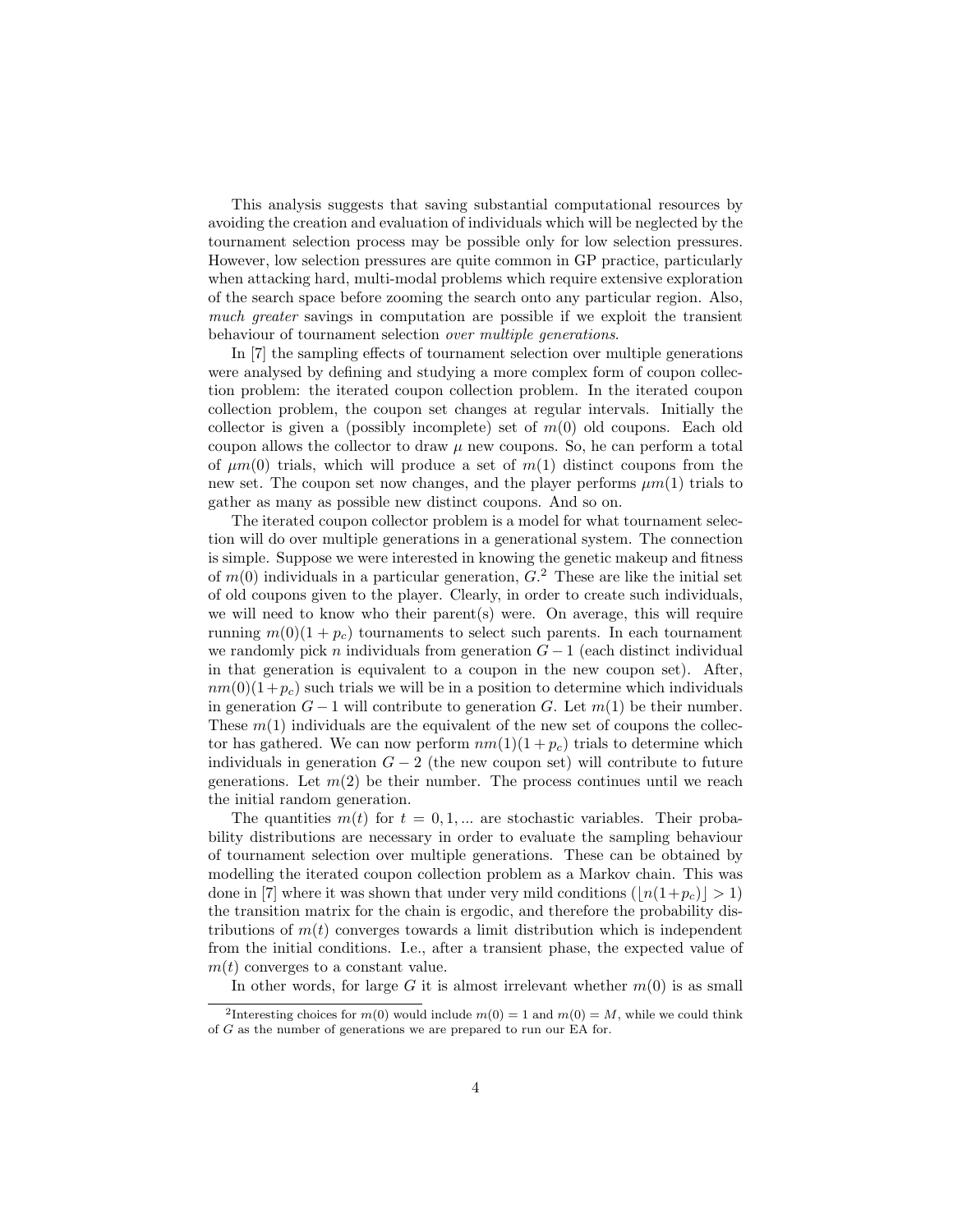This analysis suggests that saving substantial computational resources by avoiding the creation and evaluation of individuals which will be neglected by the tournament selection process may be possible only for low selection pressures. However, low selection pressures are quite common in GP practice, particularly when attacking hard, multi-modal problems which require extensive exploration of the search space before zooming the search onto any particular region. Also, much greater savings in computation are possible if we exploit the transient behaviour of tournament selection over multiple generations.

In [7] the sampling effects of tournament selection over multiple generations were analysed by defining and studying a more complex form of coupon collection problem: the iterated coupon collection problem. In the iterated coupon collection problem, the coupon set changes at regular intervals. Initially the collector is given a (possibly incomplete) set of  $m(0)$  old coupons. Each old coupon allows the collector to draw  $\mu$  new coupons. So, he can perform a total of  $\mu m(0)$  trials, which will produce a set of  $m(1)$  distinct coupons from the new set. The coupon set now changes, and the player performs  $\mu m(1)$  trials to gather as many as possible new distinct coupons. And so on.

The iterated coupon collector problem is a model for what tournament selection will do over multiple generations in a generational system. The connection is simple. Suppose we were interested in knowing the genetic makeup and fitness of  $m(0)$  individuals in a particular generation,  $G<sup>2</sup>$  These are like the initial set of old coupons given to the player. Clearly, in order to create such individuals, we will need to know who their parent(s) were. On average, this will require running  $m(0)(1 + p_c)$  tournaments to select such parents. In each tournament we randomly pick n individuals from generation  $G-1$  (each distinct individual in that generation is equivalent to a coupon in the new coupon set). After,  $nm(0)(1+p_c)$  such trials we will be in a position to determine which individuals in generation  $G-1$  will contribute to generation G. Let  $m(1)$  be their number. These  $m(1)$  individuals are the equivalent of the new set of coupons the collector has gathered. We can now perform  $nm(1)(1 + p_c)$  trials to determine which individuals in generation  $G - 2$  (the new coupon set) will contribute to future generations. Let  $m(2)$  be their number. The process continues until we reach the initial random generation.

The quantities  $m(t)$  for  $t = 0, 1, ...$  are stochastic variables. Their probability distributions are necessary in order to evaluate the sampling behaviour of tournament selection over multiple generations. These can be obtained by modelling the iterated coupon collection problem as a Markov chain. This was done in [7] where it was shown that under very mild conditions  $(|n(1+p_c)| > 1)$ the transition matrix for the chain is ergodic, and therefore the probability distributions of  $m(t)$  converges towards a limit distribution which is independent from the initial conditions. I.e., after a transient phase, the expected value of  $m(t)$  converges to a constant value.

In other words, for large G it is almost irrelevant whether  $m(0)$  is as small

<sup>&</sup>lt;sup>2</sup>Interesting choices for  $m(0)$  would include  $m(0) = 1$  and  $m(0) = M$ , while we could think of G as the number of generations we are prepared to run our EA for.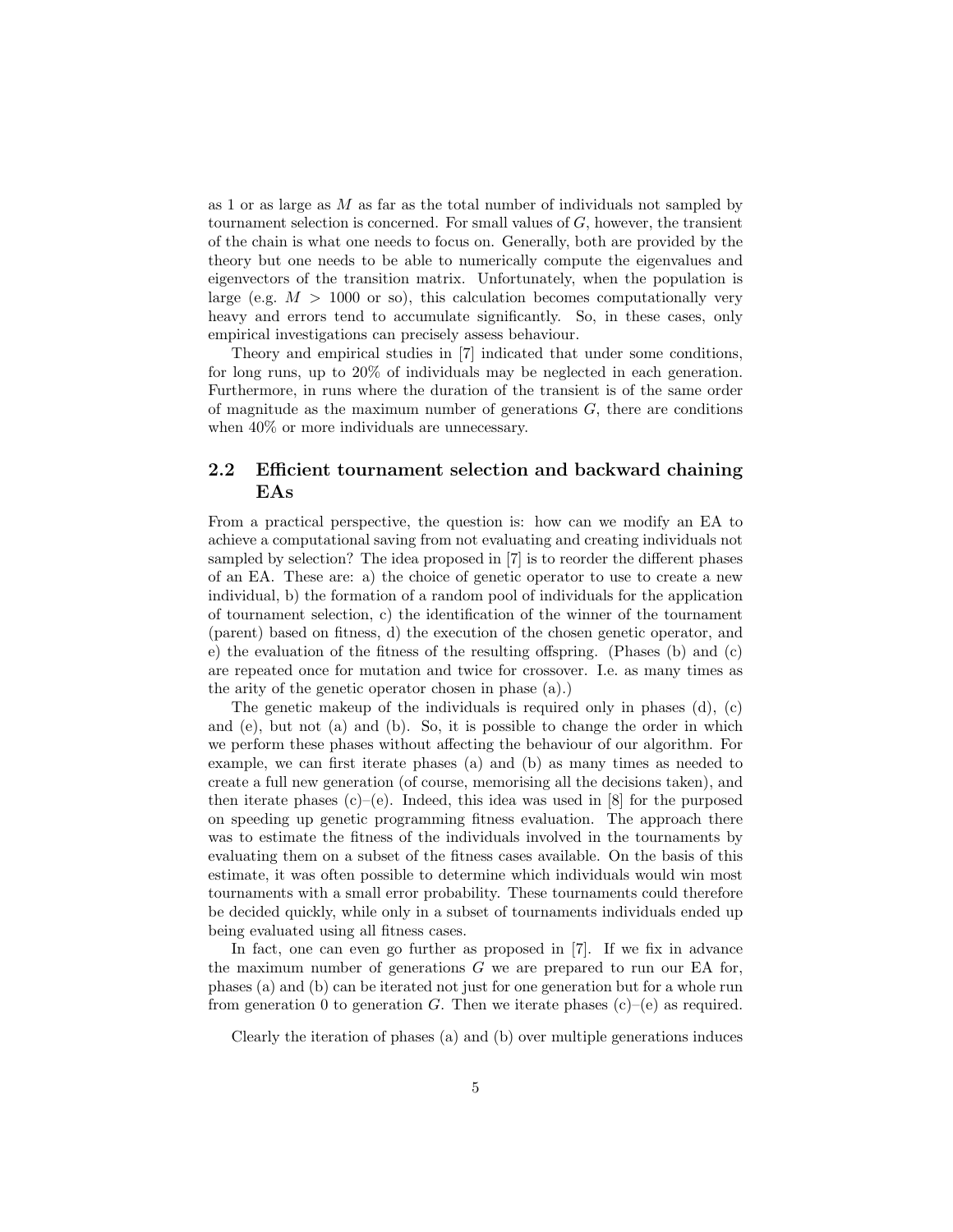as 1 or as large as  $M$  as far as the total number of individuals not sampled by tournament selection is concerned. For small values of  $G$ , however, the transient of the chain is what one needs to focus on. Generally, both are provided by the theory but one needs to be able to numerically compute the eigenvalues and eigenvectors of the transition matrix. Unfortunately, when the population is large (e.g.  $M > 1000$  or so), this calculation becomes computationally very heavy and errors tend to accumulate significantly. So, in these cases, only empirical investigations can precisely assess behaviour.

Theory and empirical studies in [7] indicated that under some conditions, for long runs, up to 20% of individuals may be neglected in each generation. Furthermore, in runs where the duration of the transient is of the same order of magnitude as the maximum number of generations  $G$ , there are conditions when  $40\%$  or more individuals are unnecessary.

### 2.2 Efficient tournament selection and backward chaining EAs

From a practical perspective, the question is: how can we modify an EA to achieve a computational saving from not evaluating and creating individuals not sampled by selection? The idea proposed in [7] is to reorder the different phases of an EA. These are: a) the choice of genetic operator to use to create a new individual, b) the formation of a random pool of individuals for the application of tournament selection, c) the identification of the winner of the tournament (parent) based on fitness, d) the execution of the chosen genetic operator, and e) the evaluation of the fitness of the resulting offspring. (Phases (b) and (c) are repeated once for mutation and twice for crossover. I.e. as many times as the arity of the genetic operator chosen in phase (a).)

The genetic makeup of the individuals is required only in phases (d), (c) and (e), but not (a) and (b). So, it is possible to change the order in which we perform these phases without affecting the behaviour of our algorithm. For example, we can first iterate phases (a) and (b) as many times as needed to create a full new generation (of course, memorising all the decisions taken), and then iterate phases  $(c)$ – $(e)$ . Indeed, this idea was used in [8] for the purposed on speeding up genetic programming fitness evaluation. The approach there was to estimate the fitness of the individuals involved in the tournaments by evaluating them on a subset of the fitness cases available. On the basis of this estimate, it was often possible to determine which individuals would win most tournaments with a small error probability. These tournaments could therefore be decided quickly, while only in a subset of tournaments individuals ended up being evaluated using all fitness cases.

In fact, one can even go further as proposed in [7]. If we fix in advance the maximum number of generations  $G$  we are prepared to run our EA for, phases (a) and (b) can be iterated not just for one generation but for a whole run from generation 0 to generation G. Then we iterate phases  $(c)$ – $(e)$  as required.

Clearly the iteration of phases (a) and (b) over multiple generations induces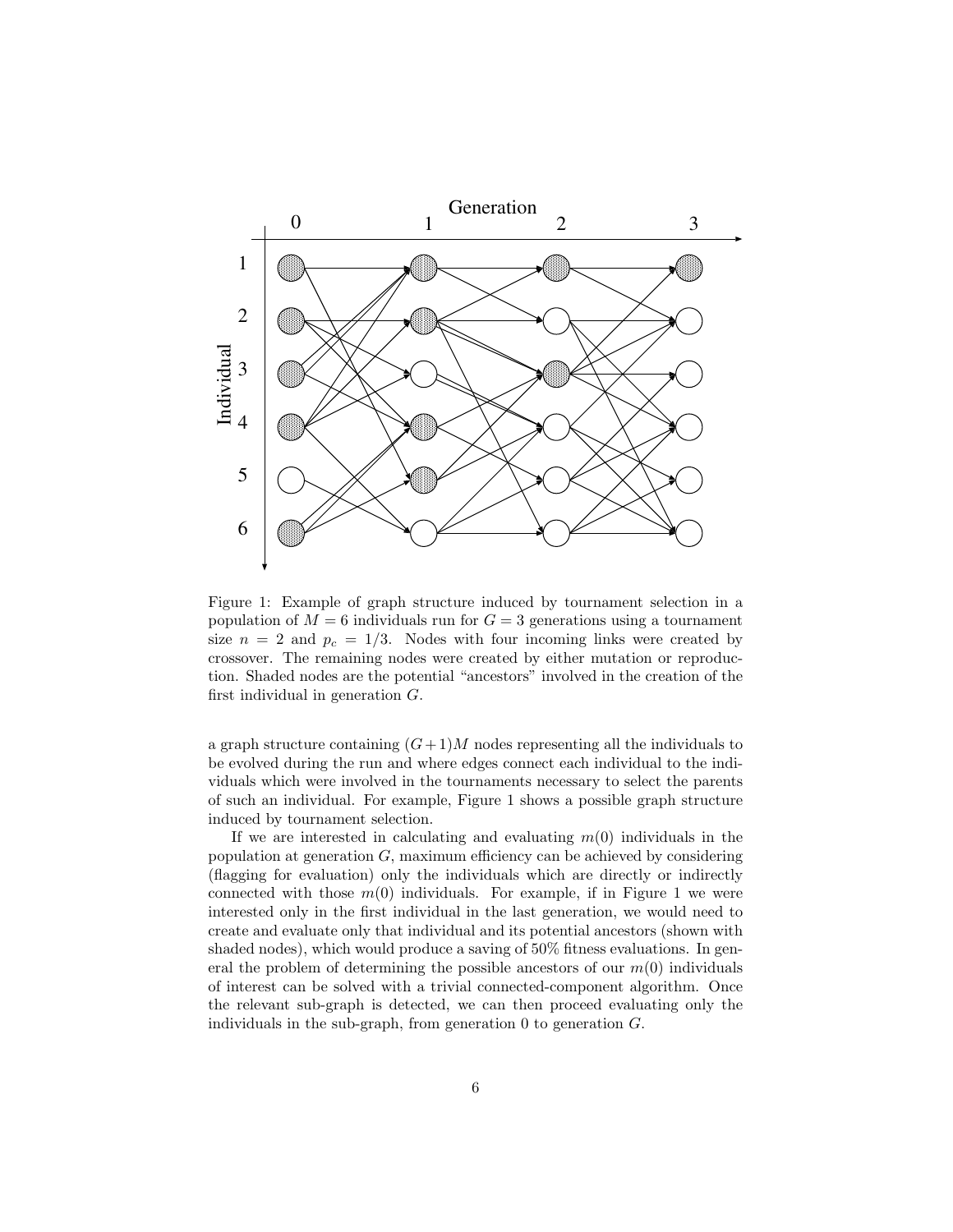

Figure 1: Example of graph structure induced by tournament selection in a population of  $M = 6$  individuals run for  $G = 3$  generations using a tournament size  $n = 2$  and  $p_c = 1/3$ . Nodes with four incoming links were created by crossover. The remaining nodes were created by either mutation or reproduction. Shaded nodes are the potential "ancestors" involved in the creation of the first individual in generation G.

a graph structure containing  $(G+1)M$  nodes representing all the individuals to be evolved during the run and where edges connect each individual to the individuals which were involved in the tournaments necessary to select the parents of such an individual. For example, Figure 1 shows a possible graph structure induced by tournament selection.

If we are interested in calculating and evaluating  $m(0)$  individuals in the population at generation  $G$ , maximum efficiency can be achieved by considering (flagging for evaluation) only the individuals which are directly or indirectly connected with those  $m(0)$  individuals. For example, if in Figure 1 we were interested only in the first individual in the last generation, we would need to create and evaluate only that individual and its potential ancestors (shown with shaded nodes), which would produce a saving of 50% fitness evaluations. In general the problem of determining the possible ancestors of our  $m(0)$  individuals of interest can be solved with a trivial connected-component algorithm. Once the relevant sub-graph is detected, we can then proceed evaluating only the individuals in the sub-graph, from generation  $0$  to generation  $G$ .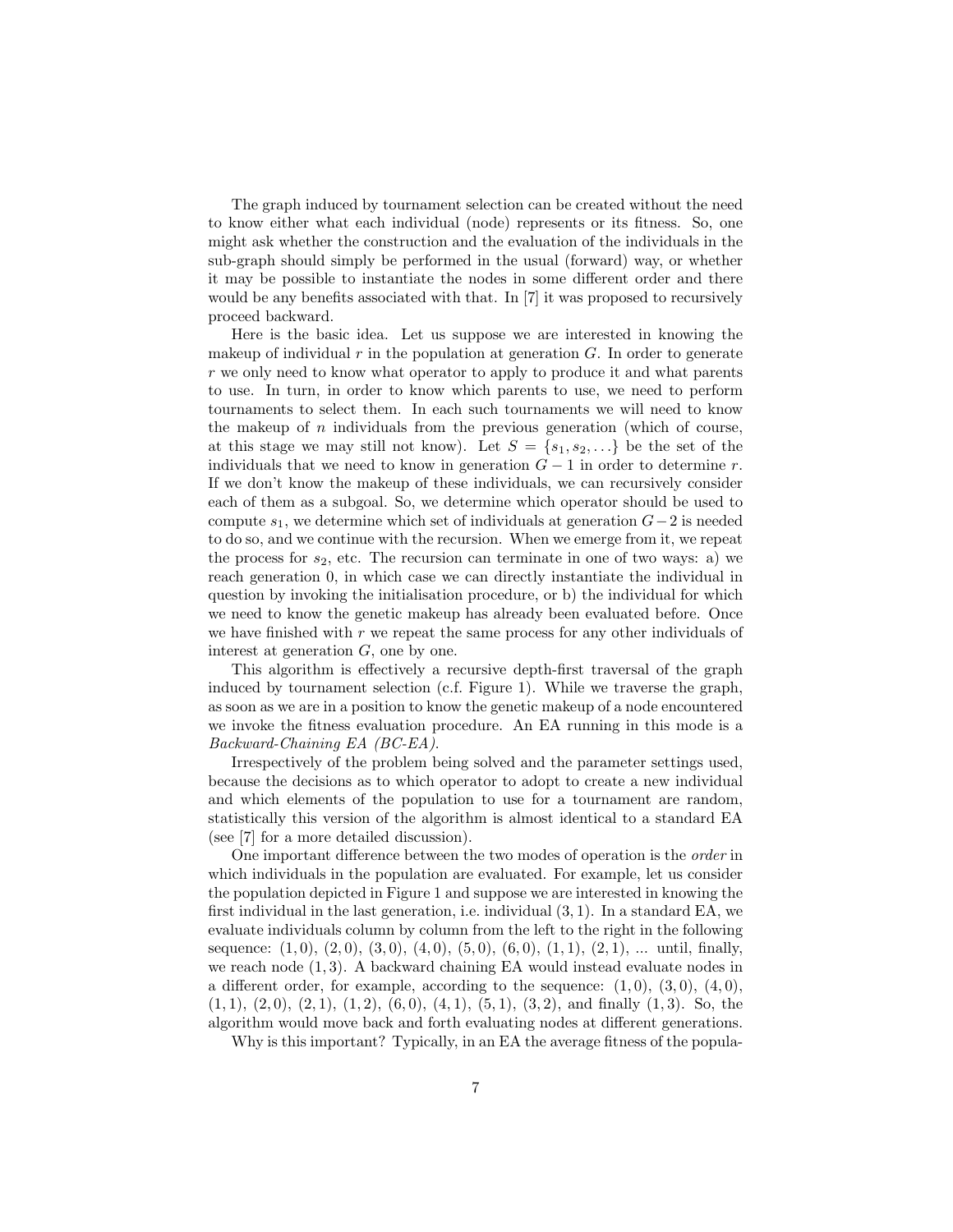The graph induced by tournament selection can be created without the need to know either what each individual (node) represents or its fitness. So, one might ask whether the construction and the evaluation of the individuals in the sub-graph should simply be performed in the usual (forward) way, or whether it may be possible to instantiate the nodes in some different order and there would be any benefits associated with that. In [7] it was proposed to recursively proceed backward.

Here is the basic idea. Let us suppose we are interested in knowing the makeup of individual r in the population at generation  $G$ . In order to generate r we only need to know what operator to apply to produce it and what parents to use. In turn, in order to know which parents to use, we need to perform tournaments to select them. In each such tournaments we will need to know the makeup of  $n$  individuals from the previous generation (which of course, at this stage we may still not know). Let  $S = \{s_1, s_2, \ldots\}$  be the set of the individuals that we need to know in generation  $G-1$  in order to determine r. If we don't know the makeup of these individuals, we can recursively consider each of them as a subgoal. So, we determine which operator should be used to compute  $s_1$ , we determine which set of individuals at generation  $G-2$  is needed to do so, and we continue with the recursion. When we emerge from it, we repeat the process for  $s_2$ , etc. The recursion can terminate in one of two ways: a) we reach generation 0, in which case we can directly instantiate the individual in question by invoking the initialisation procedure, or b) the individual for which we need to know the genetic makeup has already been evaluated before. Once we have finished with  $r$  we repeat the same process for any other individuals of interest at generation G, one by one.

This algorithm is effectively a recursive depth-first traversal of the graph induced by tournament selection (c.f. Figure 1). While we traverse the graph, as soon as we are in a position to know the genetic makeup of a node encountered we invoke the fitness evaluation procedure. An EA running in this mode is a Backward-Chaining EA (BC-EA).

Irrespectively of the problem being solved and the parameter settings used, because the decisions as to which operator to adopt to create a new individual and which elements of the population to use for a tournament are random, statistically this version of the algorithm is almost identical to a standard EA (see [7] for a more detailed discussion).

One important difference between the two modes of operation is the order in which individuals in the population are evaluated. For example, let us consider the population depicted in Figure 1 and suppose we are interested in knowing the first individual in the last generation, i.e. individual (3, 1). In a standard EA, we evaluate individuals column by column from the left to the right in the following sequence:  $(1,0), (2,0), (3,0), (4,0), (5,0), (6,0), (1,1), (2,1), \ldots$  until, finally, we reach node  $(1, 3)$ . A backward chaining EA would instead evaluate nodes in a different order, for example, according to the sequence:  $(1,0)$ ,  $(3,0)$ ,  $(4,0)$ ,  $(1, 1), (2, 0), (2, 1), (1, 2), (6, 0), (4, 1), (5, 1), (3, 2),$  and finally  $(1, 3)$ . So, the algorithm would move back and forth evaluating nodes at different generations.

Why is this important? Typically, in an EA the average fitness of the popula-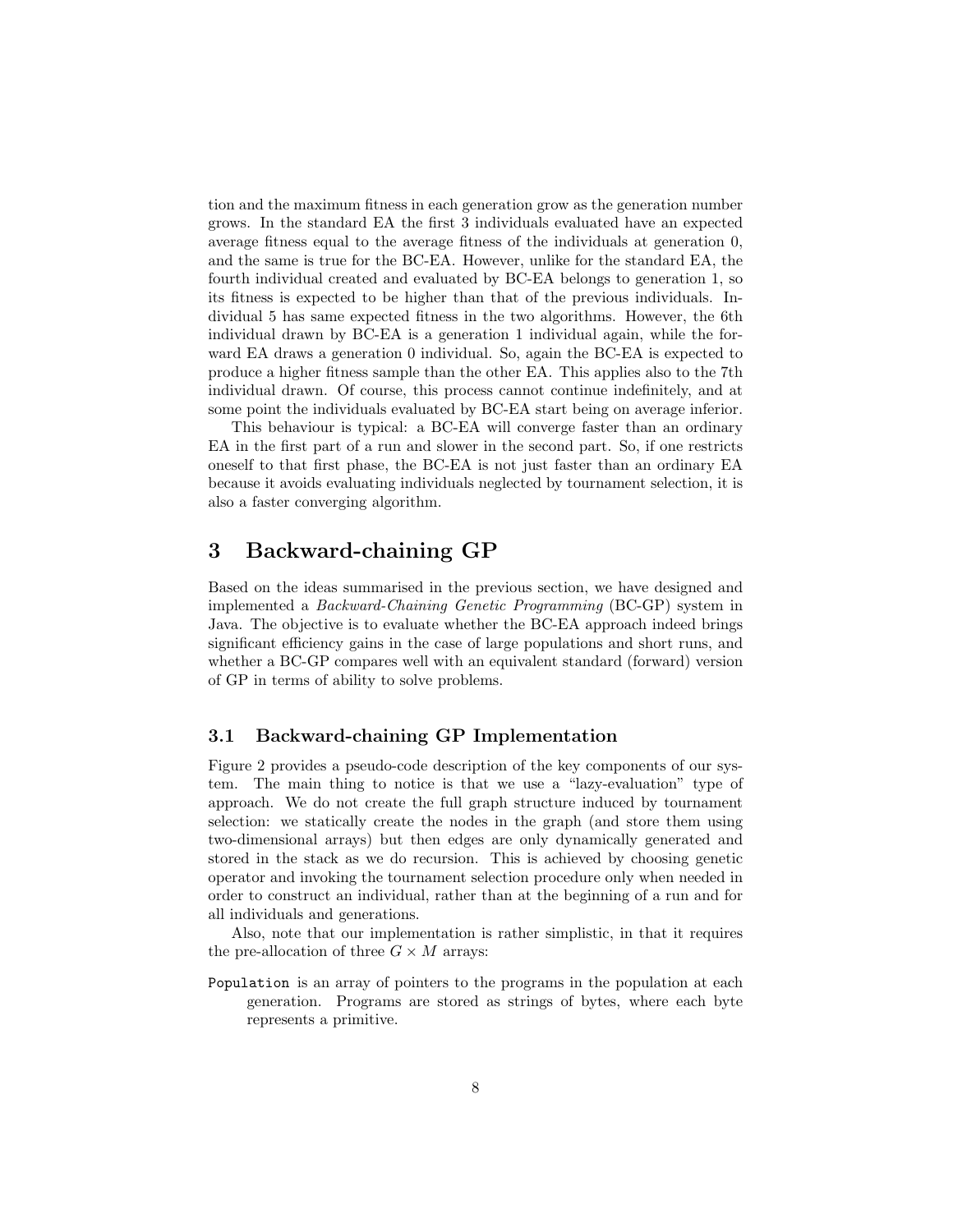tion and the maximum fitness in each generation grow as the generation number grows. In the standard EA the first 3 individuals evaluated have an expected average fitness equal to the average fitness of the individuals at generation 0, and the same is true for the BC-EA. However, unlike for the standard EA, the fourth individual created and evaluated by BC-EA belongs to generation 1, so its fitness is expected to be higher than that of the previous individuals. Individual 5 has same expected fitness in the two algorithms. However, the 6th individual drawn by BC-EA is a generation 1 individual again, while the forward EA draws a generation 0 individual. So, again the BC-EA is expected to produce a higher fitness sample than the other EA. This applies also to the 7th individual drawn. Of course, this process cannot continue indefinitely, and at some point the individuals evaluated by BC-EA start being on average inferior.

This behaviour is typical: a BC-EA will converge faster than an ordinary EA in the first part of a run and slower in the second part. So, if one restricts oneself to that first phase, the BC-EA is not just faster than an ordinary EA because it avoids evaluating individuals neglected by tournament selection, it is also a faster converging algorithm.

## 3 Backward-chaining GP

Based on the ideas summarised in the previous section, we have designed and implemented a Backward-Chaining Genetic Programming (BC-GP) system in Java. The objective is to evaluate whether the BC-EA approach indeed brings significant efficiency gains in the case of large populations and short runs, and whether a BC-GP compares well with an equivalent standard (forward) version of GP in terms of ability to solve problems.

### 3.1 Backward-chaining GP Implementation

Figure 2 provides a pseudo-code description of the key components of our system. The main thing to notice is that we use a "lazy-evaluation" type of approach. We do not create the full graph structure induced by tournament selection: we statically create the nodes in the graph (and store them using two-dimensional arrays) but then edges are only dynamically generated and stored in the stack as we do recursion. This is achieved by choosing genetic operator and invoking the tournament selection procedure only when needed in order to construct an individual, rather than at the beginning of a run and for all individuals and generations.

Also, note that our implementation is rather simplistic, in that it requires the pre-allocation of three  $G \times M$  arrays:

Population is an array of pointers to the programs in the population at each generation. Programs are stored as strings of bytes, where each byte represents a primitive.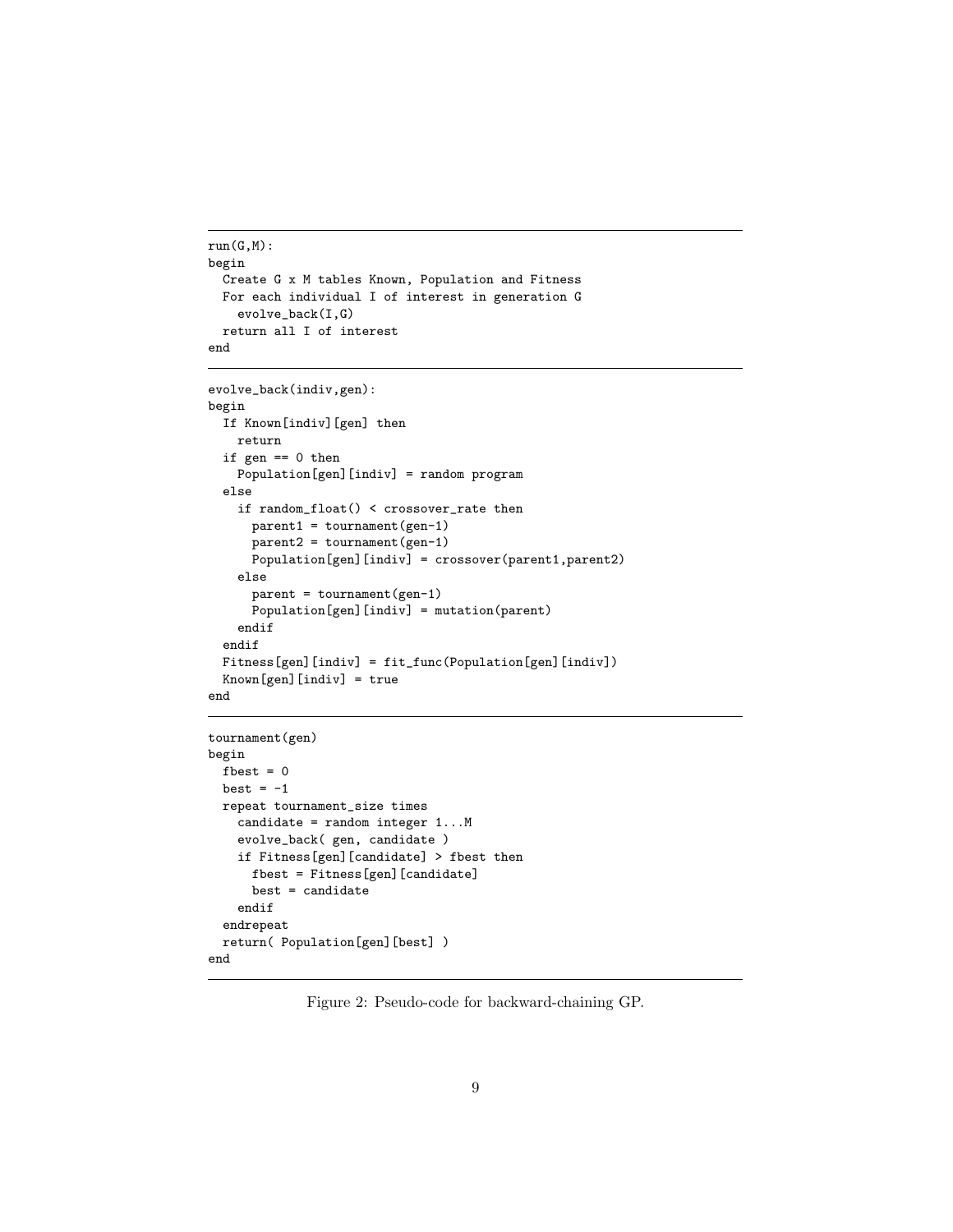```
run(G,M):begin
  Create G x M tables Known, Population and Fitness
 For each individual I of interest in generation G
    evolve_back(I,G)
  return all I of interest
end
```

```
evolve_back(indiv,gen):
begin
 If Known[indiv][gen] then
   return
  if gen == 0 then
   Population[gen][indiv] = random program
  else
    if random_float() < crossover_rate then
      parent1 = tournament(gen-1)
      parent2 = tournament(gen-1)
      Population[gen][indiv] = crossover(parent1,parent2)
    else
      parent = tournament(gen-1)
      Population[gen][indiv] = mutation(parent)
    endif
  endif
 Fitness[gen][indiv] = fit_func(Population[gen][indiv])
  Known[gen][indiv] = true
end
```

```
tournament(gen)
begin
  fbest = 0best = -1repeat tournament_size times
   candidate = random integer 1...M
    evolve_back( gen, candidate )
   if Fitness[gen][candidate] > fbest then
     fbest = Fitness[gen][candidate]
     best = candidate
    endif
 endrepeat
 return( Population[gen][best] )
end
```
Figure 2: Pseudo-code for backward-chaining GP.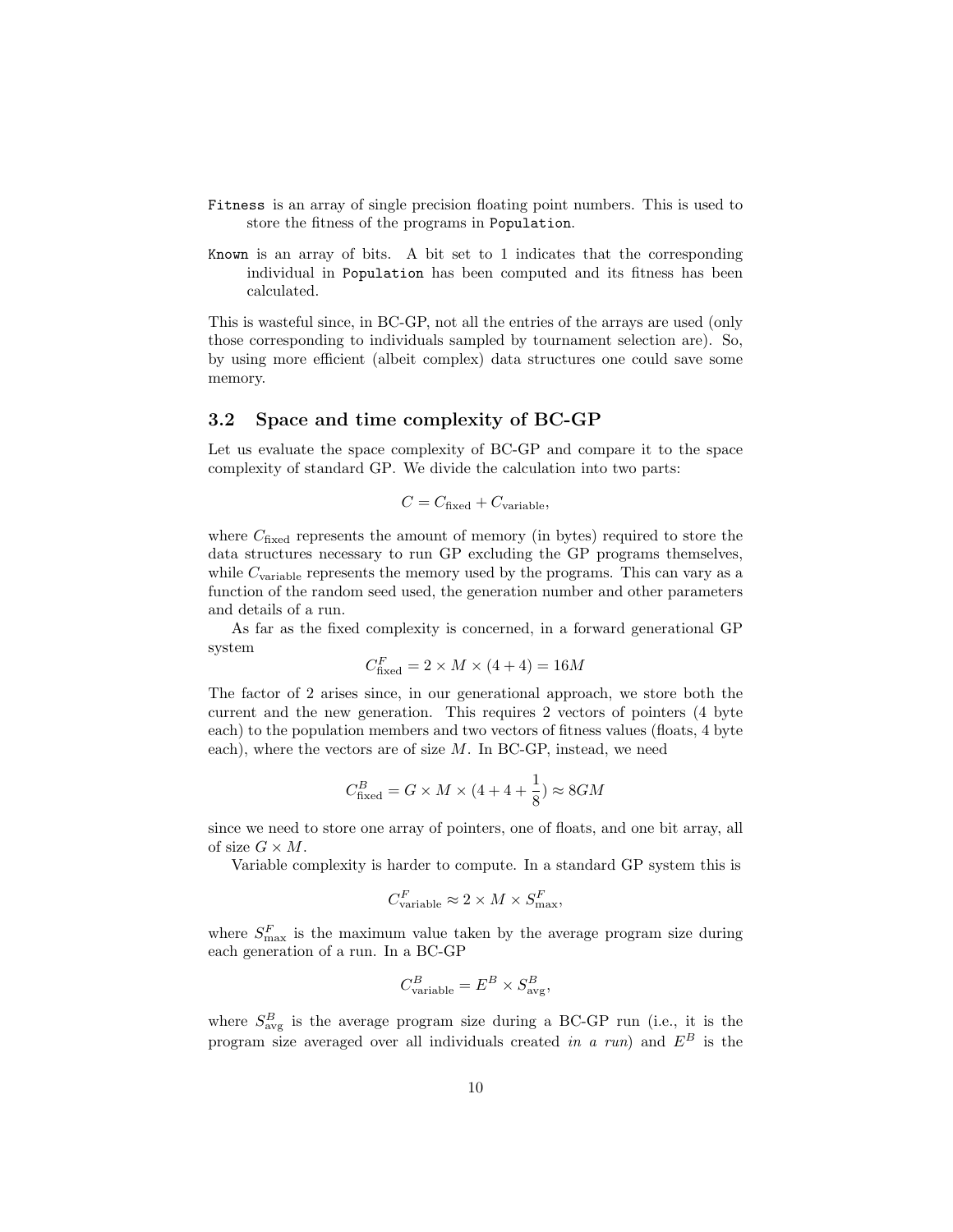- Fitness is an array of single precision floating point numbers. This is used to store the fitness of the programs in Population.
- Known is an array of bits. A bit set to 1 indicates that the corresponding individual in Population has been computed and its fitness has been calculated.

This is wasteful since, in BC-GP, not all the entries of the arrays are used (only those corresponding to individuals sampled by tournament selection are). So, by using more efficient (albeit complex) data structures one could save some memory.

### 3.2 Space and time complexity of BC-GP

Let us evaluate the space complexity of BC-GP and compare it to the space complexity of standard GP. We divide the calculation into two parts:

$$
C = C_{\text{fixed}} + C_{\text{variable}},
$$

where  $C_{\text{fixed}}$  represents the amount of memory (in bytes) required to store the data structures necessary to run GP excluding the GP programs themselves, while  $C_{\text{variable}}$  represents the memory used by the programs. This can vary as a function of the random seed used, the generation number and other parameters and details of a run.

As far as the fixed complexity is concerned, in a forward generational GP system

$$
C_{\text{fixed}}^F = 2 \times M \times (4+4) = 16M
$$

The factor of 2 arises since, in our generational approach, we store both the current and the new generation. This requires 2 vectors of pointers (4 byte each) to the population members and two vectors of fitness values (floats, 4 byte each), where the vectors are of size  $M$ . In BC-GP, instead, we need

$$
C_{\text{fixed}}^B = G \times M \times (4 + 4 + \frac{1}{8}) \approx 8GM
$$

since we need to store one array of pointers, one of floats, and one bit array, all of size  $G \times M$ .

Variable complexity is harder to compute. In a standard GP system this is

$$
C_{\text{variable}}^F \approx 2 \times M \times S_{\text{max}}^F,
$$

where  $S_{\text{max}}^F$  is the maximum value taken by the average program size during each generation of a run. In a BC-GP

$$
C_{\text{variable}}^B = E^B \times S_{\text{avg}}^B,
$$

where  $S_{\text{avg}}^B$  is the average program size during a BC-GP run (i.e., it is the program size averaged over all individuals created in a run) and  $E^B$  is the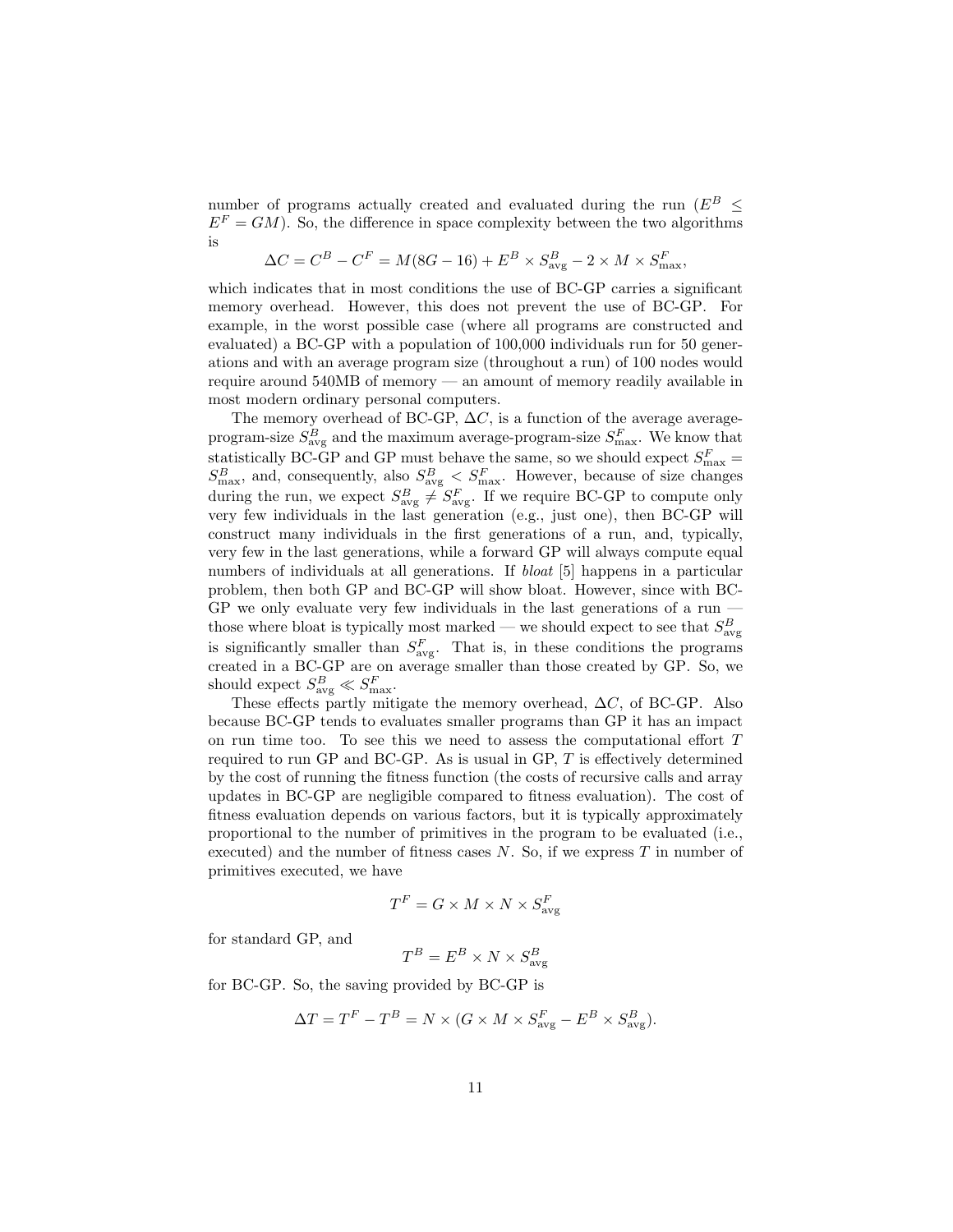number of programs actually created and evaluated during the run ( $E^B \leq$  $E<sup>F</sup> = GM$ ). So, the difference in space complexity between the two algorithms is

$$
\Delta C = C^{B} - C^{F} = M(8G - 16) + E^{B} \times S_{\text{avg}}^{B} - 2 \times M \times S_{\text{max}}^{F},
$$

which indicates that in most conditions the use of BC-GP carries a significant memory overhead. However, this does not prevent the use of BC-GP. For example, in the worst possible case (where all programs are constructed and evaluated) a BC-GP with a population of 100,000 individuals run for 50 generations and with an average program size (throughout a run) of 100 nodes would require around 540MB of memory — an amount of memory readily available in most modern ordinary personal computers.

The memory overhead of BC-GP,  $\Delta C$ , is a function of the average averageprogram-size  $S_{\text{avg}}^B$  and the maximum average-program-size  $S_{\text{max}}^F$ . We know that statistically BC-GP and GP must behave the same, so we should expect  $S_{\text{max}}^F =$  $S_{\text{max}}^B$ , and, consequently, also  $S_{\text{avg}}^B < S_{\text{max}}^F$ . However, because of size changes during the run, we expect  $S_{\text{avg}}^B \neq S_{\text{avg}}^F$ . If we require BC-GP to compute only very few individuals in the last generation (e.g., just one), then BC-GP will construct many individuals in the first generations of a run, and, typically, very few in the last generations, while a forward GP will always compute equal numbers of individuals at all generations. If *bloat* [5] happens in a particular problem, then both GP and BC-GP will show bloat. However, since with BC-GP we only evaluate very few individuals in the last generations of a run those where bloat is typically most marked — we should expect to see that  $S_{\text{avg}}^B$ is significantly smaller than  $S_{\text{avg}}^F$ . That is, in these conditions the programs created in a BC-GP are on average smaller than those created by GP. So, we should expect  $S_{\text{avg}}^B \ll S_{\text{max}}^F$ .

These effects partly mitigate the memory overhead,  $\Delta C$ , of BC-GP. Also because BC-GP tends to evaluates smaller programs than GP it has an impact on run time too. To see this we need to assess the computational effort T required to run GP and BC-GP. As is usual in GP, T is effectively determined by the cost of running the fitness function (the costs of recursive calls and array updates in BC-GP are negligible compared to fitness evaluation). The cost of fitness evaluation depends on various factors, but it is typically approximately proportional to the number of primitives in the program to be evaluated (i.e., executed) and the number of fitness cases  $N$ . So, if we express  $T$  in number of primitives executed, we have

$$
T^F=G\times M\times N\times S^F_{\text{avg}}
$$

for standard GP, and

$$
T^B = E^B \times N \times S^B_{\text{avg}}
$$

for BC-GP. So, the saving provided by BC-GP is

$$
\Delta T = T^{F} - T^{B} = N \times (G \times M \times S_{\text{avg}}^{F} - E^{B} \times S_{\text{avg}}^{B}).
$$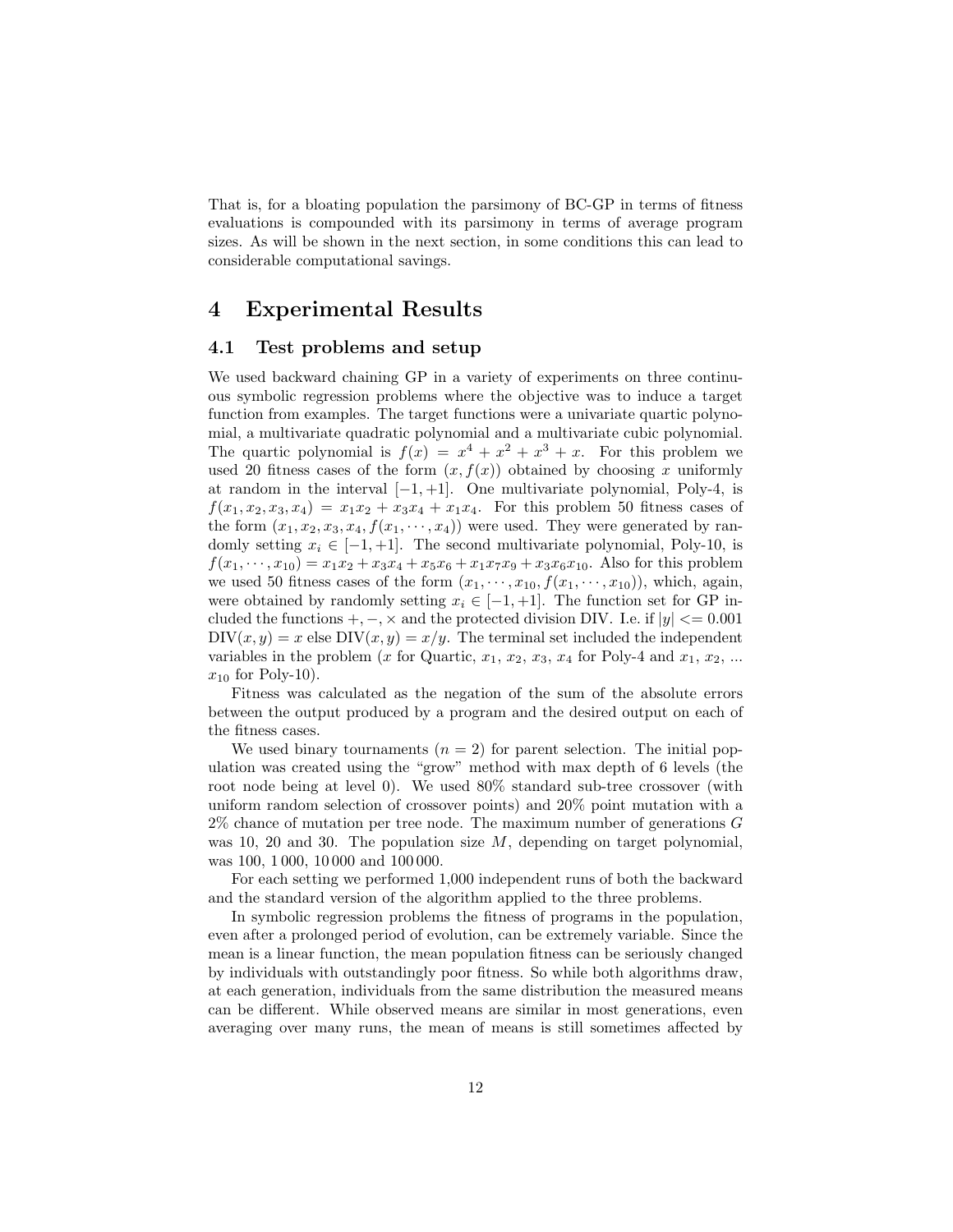That is, for a bloating population the parsimony of BC-GP in terms of fitness evaluations is compounded with its parsimony in terms of average program sizes. As will be shown in the next section, in some conditions this can lead to considerable computational savings.

### 4 Experimental Results

#### 4.1 Test problems and setup

We used backward chaining GP in a variety of experiments on three continuous symbolic regression problems where the objective was to induce a target function from examples. The target functions were a univariate quartic polynomial, a multivariate quadratic polynomial and a multivariate cubic polynomial. The quartic polynomial is  $f(x) = x^4 + x^2 + x^3 + x$ . For this problem we used 20 fitness cases of the form  $(x, f(x))$  obtained by choosing x uniformly at random in the interval  $[-1, +1]$ . One multivariate polynomial, Poly-4, is  $f(x_1, x_2, x_3, x_4) = x_1x_2 + x_3x_4 + x_1x_4$ . For this problem 50 fitness cases of the form  $(x_1, x_2, x_3, x_4, f(x_1, \dots, x_4))$  were used. They were generated by randomly setting  $x_i \in [-1, +1]$ . The second multivariate polynomial, Poly-10, is  $f(x_1, \dots, x_{10}) = x_1x_2 + x_3x_4 + x_5x_6 + x_1x_7x_9 + x_3x_6x_{10}$ . Also for this problem we used 50 fitness cases of the form  $(x_1, \dots, x_{10}, f(x_1, \dots, x_{10}))$ , which, again, were obtained by randomly setting  $x_i \in [-1, +1]$ . The function set for GP included the functions  $+,-,\times$  and the protected division DIV. I.e. if  $|y| \leq 0.001$  $DIV(x, y) = x$  else  $DIV(x, y) = x/y$ . The terminal set included the independent variables in the problem (x for Quartic,  $x_1, x_2, x_3, x_4$  for Poly-4 and  $x_1, x_2, ...$  $x_{10}$  for Poly-10).

Fitness was calculated as the negation of the sum of the absolute errors between the output produced by a program and the desired output on each of the fitness cases.

We used binary tournaments  $(n = 2)$  for parent selection. The initial population was created using the "grow" method with max depth of 6 levels (the root node being at level 0). We used 80% standard sub-tree crossover (with uniform random selection of crossover points) and 20% point mutation with a  $2\%$  chance of mutation per tree node. The maximum number of generations G was 10, 20 and 30. The population size  $M$ , depending on target polynomial, was 100, 1 000, 10 000 and 100 000.

For each setting we performed 1,000 independent runs of both the backward and the standard version of the algorithm applied to the three problems.

In symbolic regression problems the fitness of programs in the population, even after a prolonged period of evolution, can be extremely variable. Since the mean is a linear function, the mean population fitness can be seriously changed by individuals with outstandingly poor fitness. So while both algorithms draw, at each generation, individuals from the same distribution the measured means can be different. While observed means are similar in most generations, even averaging over many runs, the mean of means is still sometimes affected by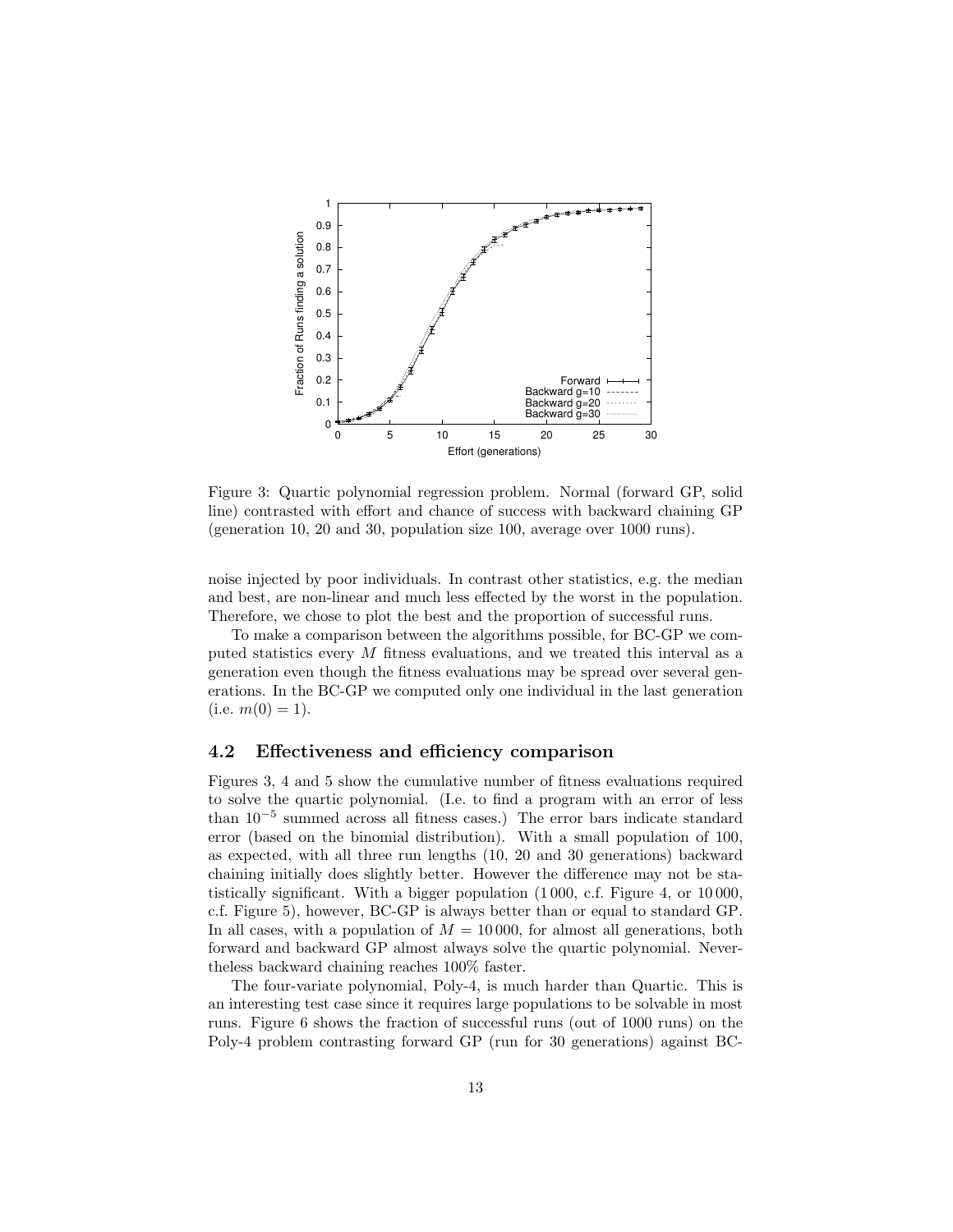

Figure 3: Quartic polynomial regression problem. Normal (forward GP, solid line) contrasted with effort and chance of success with backward chaining GP (generation 10, 20 and 30, population size 100, average over 1000 runs).

noise injected by poor individuals. In contrast other statistics, e.g. the median and best, are non-linear and much less effected by the worst in the population. Therefore, we chose to plot the best and the proportion of successful runs.

To make a comparison between the algorithms possible, for BC-GP we computed statistics every M fitness evaluations, and we treated this interval as a generation even though the fitness evaluations may be spread over several generations. In the BC-GP we computed only one individual in the last generation (i.e.  $m(0) = 1$ ).

### 4.2 Effectiveness and efficiency comparison

Figures 3, 4 and 5 show the cumulative number of fitness evaluations required to solve the quartic polynomial. (I.e. to find a program with an error of less than 10<sup>−</sup><sup>5</sup> summed across all fitness cases.) The error bars indicate standard error (based on the binomial distribution). With a small population of 100, as expected, with all three run lengths (10, 20 and 30 generations) backward chaining initially does slightly better. However the difference may not be statistically significant. With a bigger population (1 000, c.f. Figure 4, or 10 000, c.f. Figure 5), however, BC-GP is always better than or equal to standard GP. In all cases, with a population of  $M = 10000$ , for almost all generations, both forward and backward GP almost always solve the quartic polynomial. Nevertheless backward chaining reaches 100% faster.

The four-variate polynomial, Poly-4, is much harder than Quartic. This is an interesting test case since it requires large populations to be solvable in most runs. Figure 6 shows the fraction of successful runs (out of 1000 runs) on the Poly-4 problem contrasting forward GP (run for 30 generations) against BC-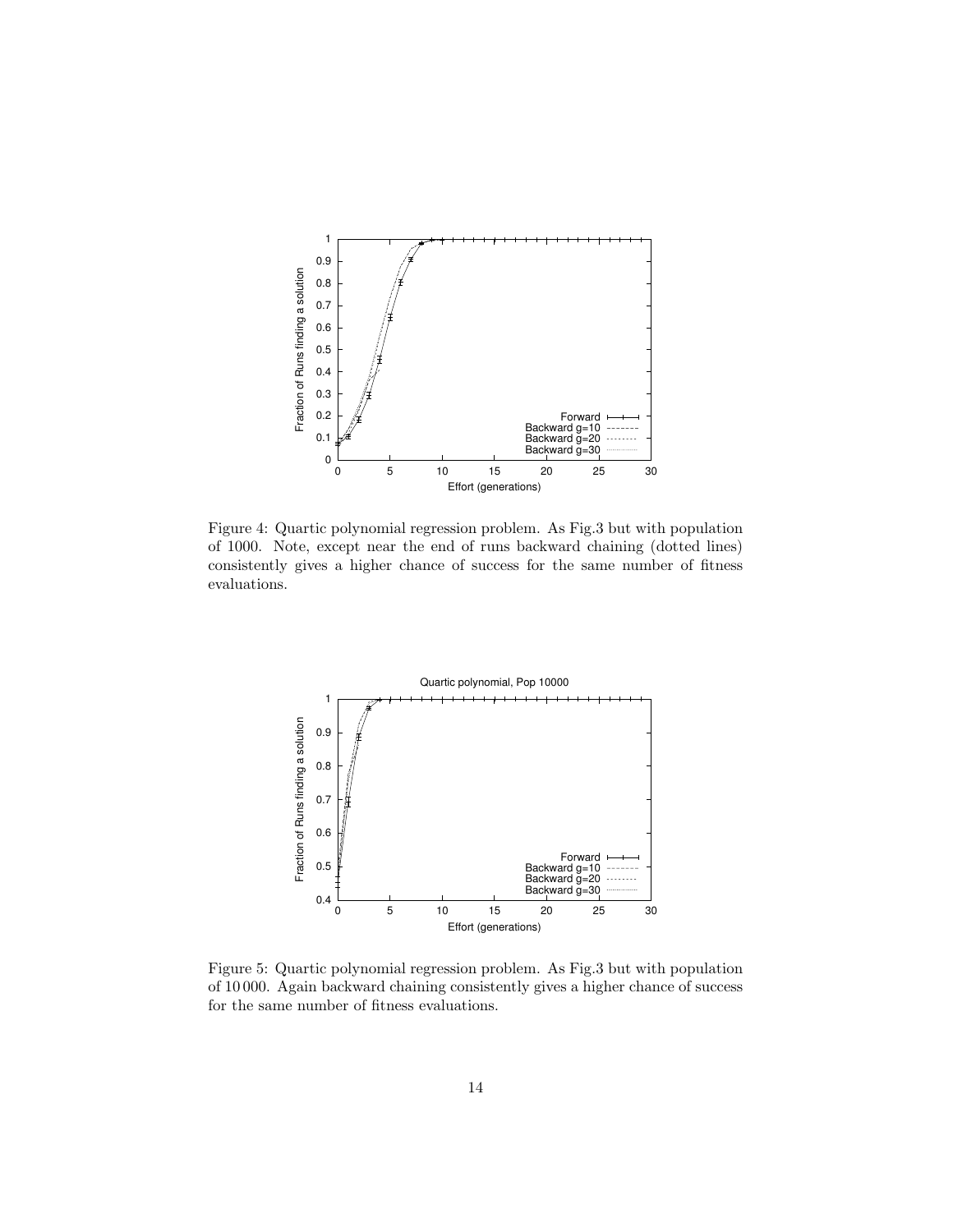

Figure 4: Quartic polynomial regression problem. As Fig.3 but with population of 1000. Note, except near the end of runs backward chaining (dotted lines) consistently gives a higher chance of success for the same number of fitness evaluations.



Figure 5: Quartic polynomial regression problem. As Fig.3 but with population of 10 000. Again backward chaining consistently gives a higher chance of success for the same number of fitness evaluations.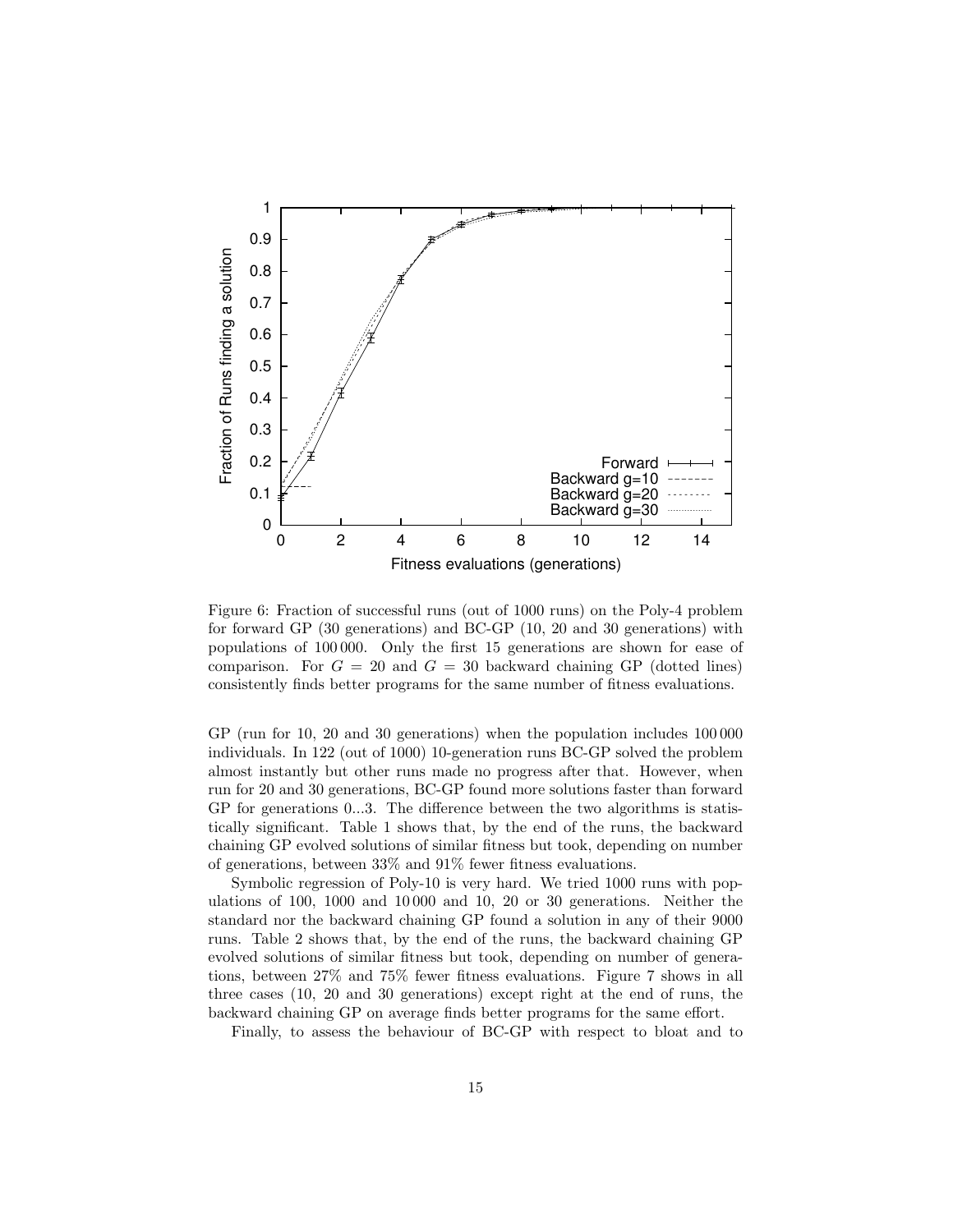

Figure 6: Fraction of successful runs (out of 1000 runs) on the Poly-4 problem for forward GP (30 generations) and BC-GP (10, 20 and 30 generations) with populations of 100 000. Only the first 15 generations are shown for ease of comparison. For  $G = 20$  and  $G = 30$  backward chaining GP (dotted lines) consistently finds better programs for the same number of fitness evaluations.

GP (run for 10, 20 and 30 generations) when the population includes 100 000 individuals. In 122 (out of 1000) 10-generation runs BC-GP solved the problem almost instantly but other runs made no progress after that. However, when run for 20 and 30 generations, BC-GP found more solutions faster than forward GP for generations 0...3. The difference between the two algorithms is statistically significant. Table 1 shows that, by the end of the runs, the backward chaining GP evolved solutions of similar fitness but took, depending on number of generations, between 33% and 91% fewer fitness evaluations.

Symbolic regression of Poly-10 is very hard. We tried 1000 runs with populations of 100, 1000 and 10 000 and 10, 20 or 30 generations. Neither the standard nor the backward chaining GP found a solution in any of their 9000 runs. Table 2 shows that, by the end of the runs, the backward chaining GP evolved solutions of similar fitness but took, depending on number of generations, between 27% and 75% fewer fitness evaluations. Figure 7 shows in all three cases (10, 20 and 30 generations) except right at the end of runs, the backward chaining GP on average finds better programs for the same effort.

Finally, to assess the behaviour of BC-GP with respect to bloat and to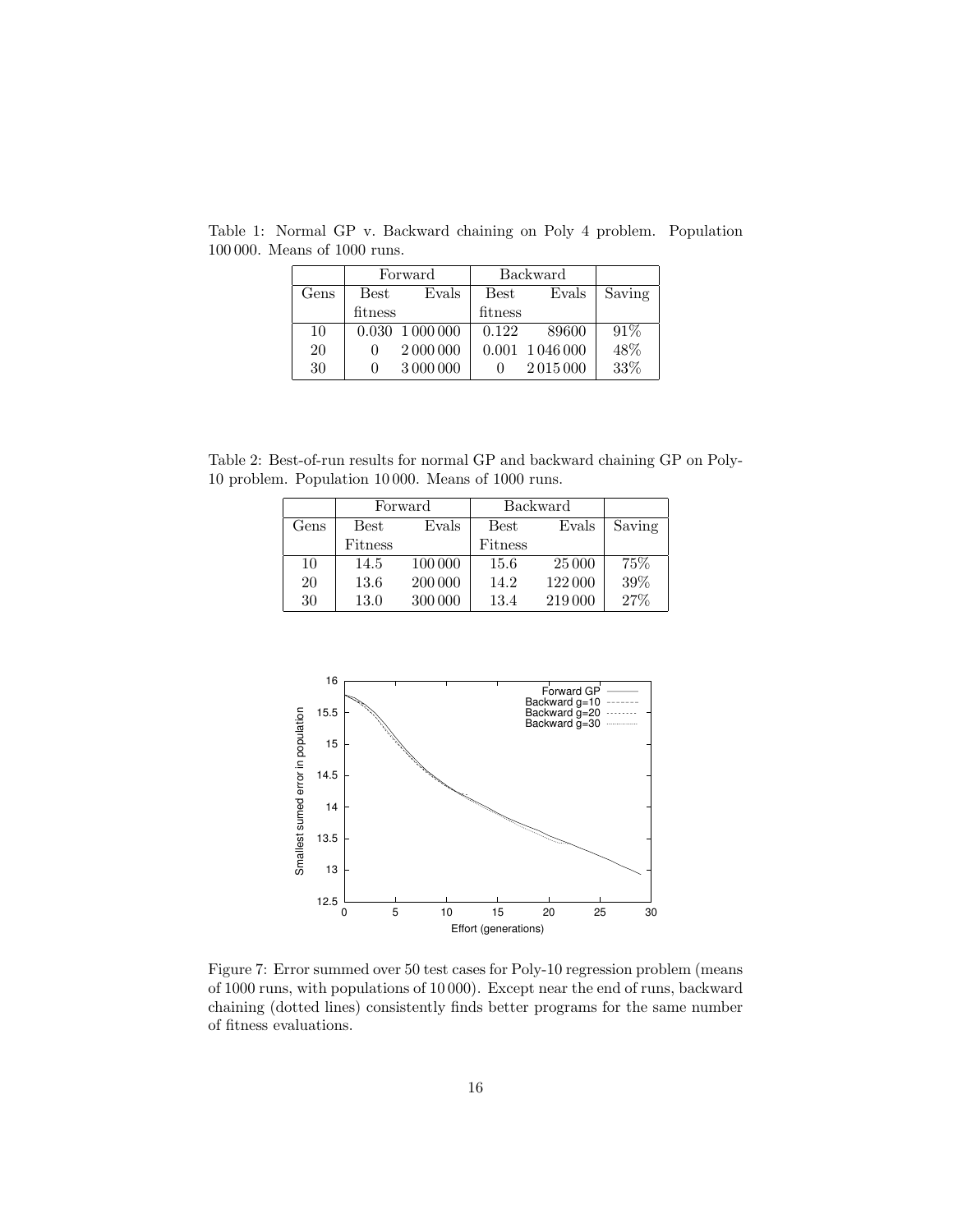|            | Forward |                          | <b>Backward</b> |                 |        |
|------------|---------|--------------------------|-----------------|-----------------|--------|
| $\rm Gens$ | Best    | Evals                    | Best            | Evals           | Saving |
|            | fitness |                          | fitness         |                 |        |
| 10         |         | $0.030 \text{ } 1000000$ | 0.122           | 89600           | 91%    |
| 20         |         | 2 000 000                |                 | 0.001 1 046 000 | 48%    |
| 30         |         | 3 000 000                |                 | 2015000         | 33%    |

Table 1: Normal GP v. Backward chaining on Poly 4 problem. Population 100 000. Means of 1000 runs.

Table 2: Best-of-run results for normal GP and backward chaining GP on Poly-10 problem. Population 10 000. Means of 1000 runs.

|      | Forward       |         | <b>Backward</b> |         |        |
|------|---------------|---------|-----------------|---------|--------|
| Gens | $_{\rm Best}$ | Evals   | <b>Best</b>     | Evals   | Saving |
|      | Fitness       |         | Fitness         |         |        |
| 10   | 14.5          | 100 000 | 15.6            | 25 000  | 75%    |
| 20   | 13.6          | 200 000 | 14.2            | 122000  | 39%    |
| 30   | 13.0          | 300 000 | 13.4            | 219 000 | 27%    |



Figure 7: Error summed over 50 test cases for Poly-10 regression problem (means of 1000 runs, with populations of 10 000). Except near the end of runs, backward chaining (dotted lines) consistently finds better programs for the same number of fitness evaluations.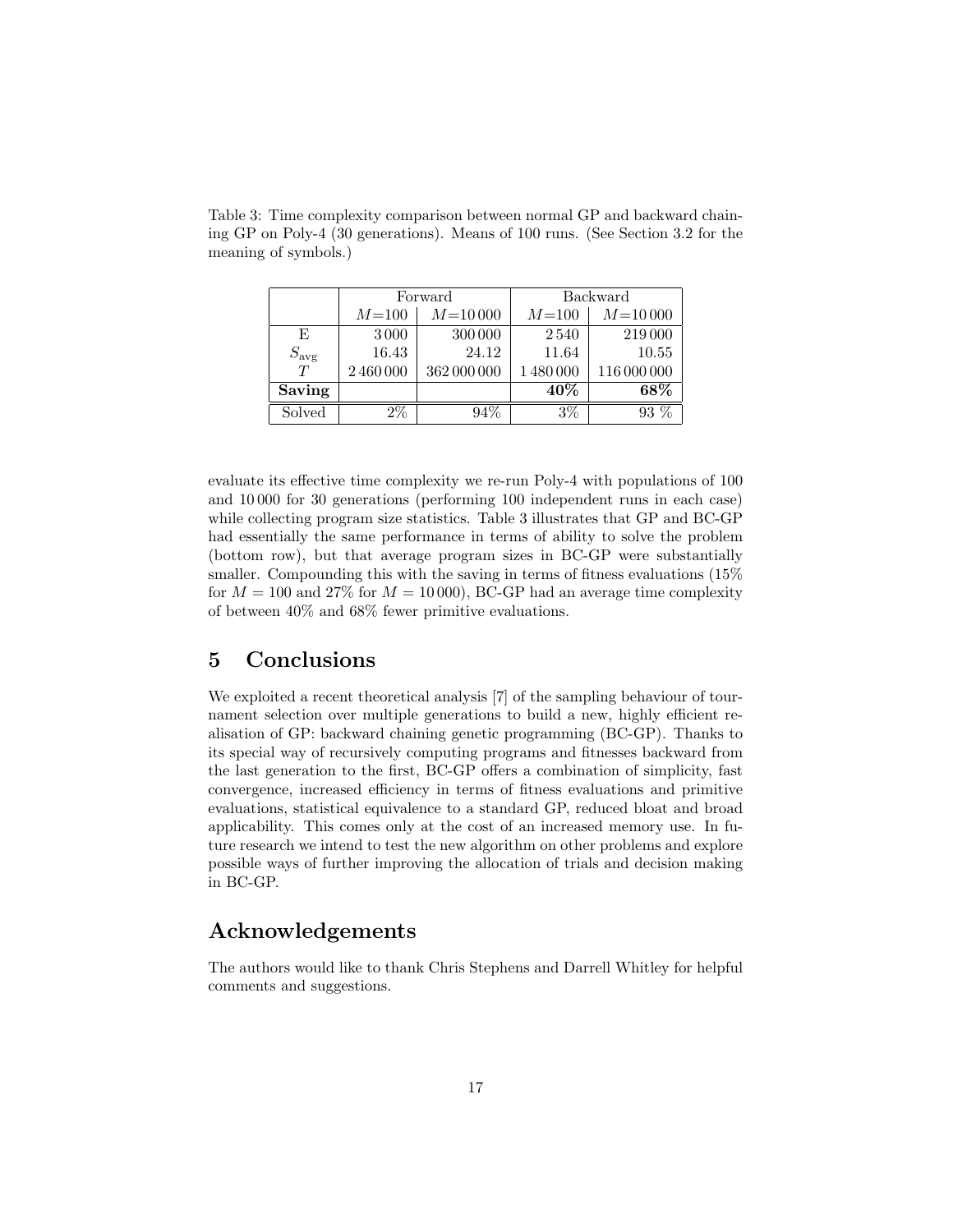|               |         | Forward     | <b>Backward</b> |             |  |
|---------------|---------|-------------|-----------------|-------------|--|
|               | $M=100$ | $M = 10000$ | $M = 100$       | $M = 10000$ |  |
| E             | 3000    | 300 000     | 2540            | 219 000     |  |
| $S_{\rm avg}$ | 16.43   | 24.12       | 11.64           | 10.55       |  |
| T             | 2460000 | 362 000 000 | 1480000         | 116 000 000 |  |
| Saving        |         |             | $40\%$          | 68%         |  |
| Solved        | $2\%$   | $94\%$      | $3\%$           | $93\%$      |  |

Table 3: Time complexity comparison between normal GP and backward chaining GP on Poly-4 (30 generations). Means of 100 runs. (See Section 3.2 for the meaning of symbols.)

evaluate its effective time complexity we re-run Poly-4 with populations of 100 and 10 000 for 30 generations (performing 100 independent runs in each case) while collecting program size statistics. Table 3 illustrates that GP and BC-GP had essentially the same performance in terms of ability to solve the problem (bottom row), but that average program sizes in BC-GP were substantially smaller. Compounding this with the saving in terms of fitness evaluations (15% for  $M = 100$  and 27% for  $M = 10000$ , BC-GP had an average time complexity of between 40% and 68% fewer primitive evaluations.

## 5 Conclusions

We exploited a recent theoretical analysis [7] of the sampling behaviour of tournament selection over multiple generations to build a new, highly efficient realisation of GP: backward chaining genetic programming (BC-GP). Thanks to its special way of recursively computing programs and fitnesses backward from the last generation to the first, BC-GP offers a combination of simplicity, fast convergence, increased efficiency in terms of fitness evaluations and primitive evaluations, statistical equivalence to a standard GP, reduced bloat and broad applicability. This comes only at the cost of an increased memory use. In future research we intend to test the new algorithm on other problems and explore possible ways of further improving the allocation of trials and decision making in BC-GP.

## Acknowledgements

The authors would like to thank Chris Stephens and Darrell Whitley for helpful comments and suggestions.